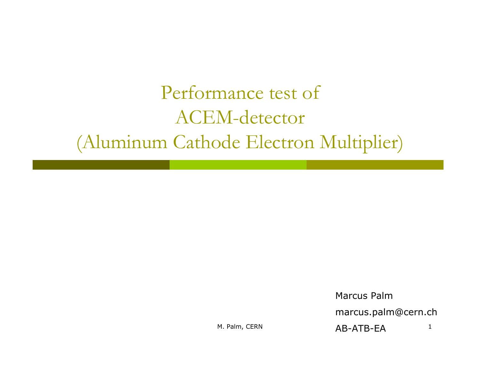## Performance test of ACEM-detector (Aluminum Cathode Electron Multiplier)

Marcus Palm

marcus.palm@cern.ch

M. Palm, CERN 1 AB-ATB-EA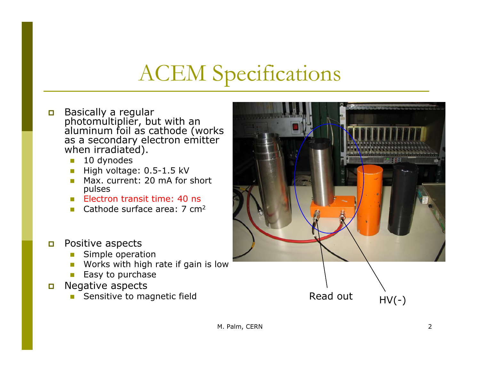## ACEM Specifications

- $\Box$ Basically a regular<br>photomultiplier, but with an<br>aluminum foil as cathode (works<br>as a secondary electron emitter when irradiated).
	- $\overline{\phantom{a}}$ 10 dynodes
	- High voltage: 0.5-1.5 kV
	- Max. current: 20 mA for short pulses
	- Electron transit time: 40 ns
	- **Cathode surface area: 7 cm<sup>2</sup>**
- $\Box$  Positive aspects
	- Simple operation
	- Works with high rate if gain is low
	- Easy to purchase
- $\Box$  Negative aspects
	-

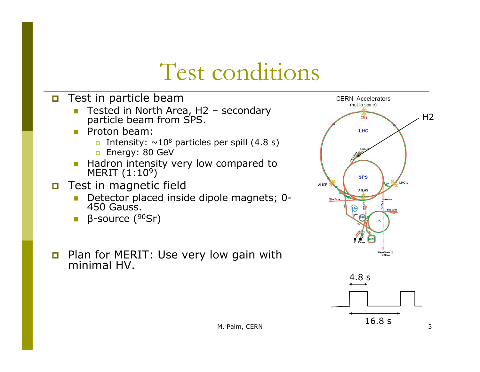## Test conditions

#### **n** Test in particle beam

- L Tested in North Area, H2 – secondary particle beam from SPS.
- **Proton beam:** 
	- □ Intensity: ~10<sup>8</sup> particles per spill (4.8 s)
	- □ Energy: 80 GeV
- **Hadron intensity very low compared to MERIT (1:10**<sup>9</sup>) 9 )
- **D** Test in magnetic field
	- F Detector placed inside dipole magnets; 0- 450 Gauss.
	- F β-source (90Sr)
- Plan for MERIT: Use very low gain with minimal HV.



16.8 s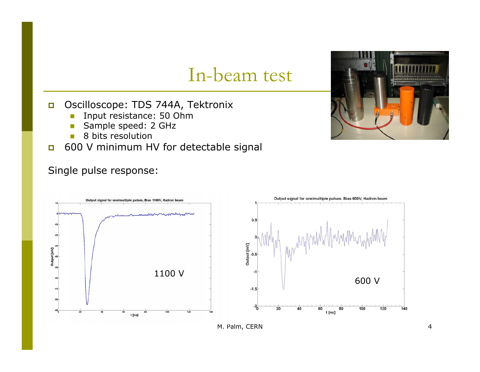### In-beam test

#### $\Box$ Oscilloscope: TDS 744A, Tektronix

- $\overline{\phantom{a}}$ Input resistance: 50 Ohm
- $\overline{\phantom{a}}$ Sample speed: 2 GHz
- $\overline{\phantom{a}}$ 8 bits resolution
- $\Box$ 600 V minimum HV for detectable signal

#### Single pulse response:





M. Palm, CERN 4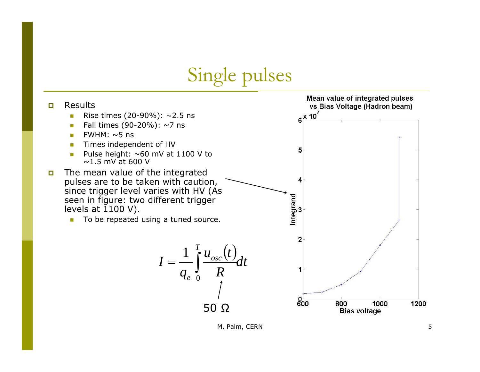Single pulses



M. Palm, CERN 5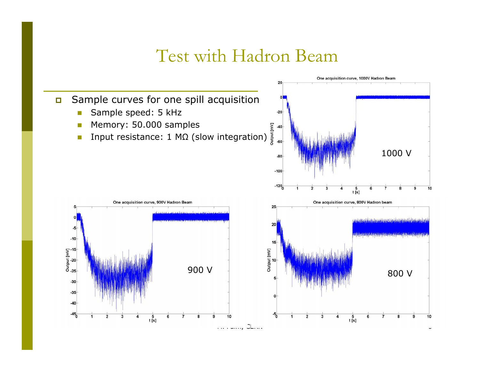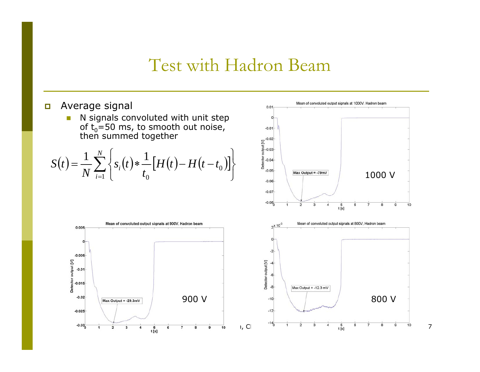- $\Box$  Average signal
	- $\overline{\mathcal{A}}$ **N** signals convoluted with unit step of t<sub>o</sub>=50 ms, to smooth out noise, then summed together

$$
S(t) = \frac{1}{N} \sum_{i=1}^{N} \left\{ s_i(t) * \frac{1}{t_0} \left[ H(t) - H(t - t_0) \right] \right\}
$$



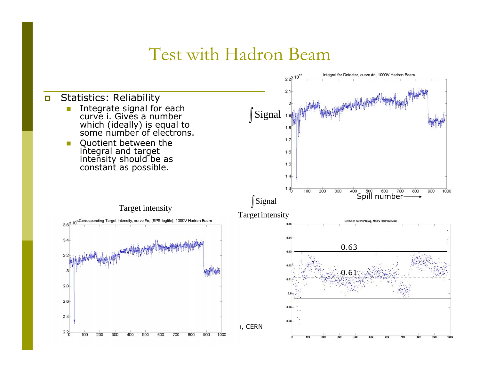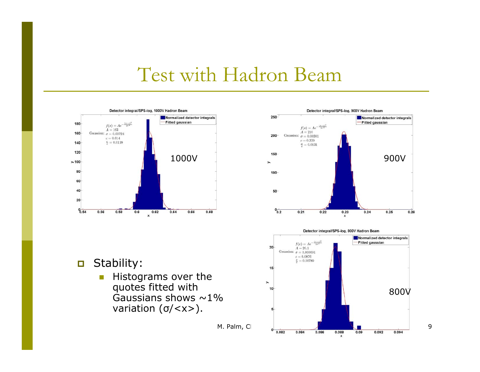





 $\overline{\mathbb{R}^2}$  Histograms over the quotes fitted with Gaussians shows  $\sim$  1% variation ( <sup>σ</sup>/<x>).

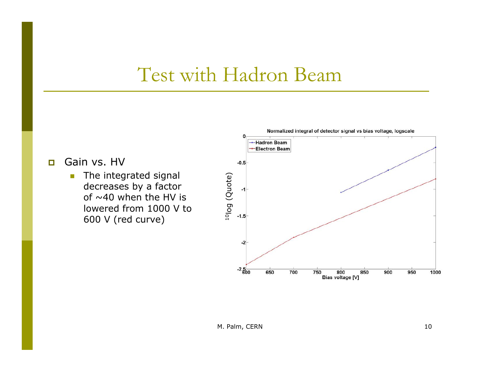$\Box$ Gain vs. HV

> $\mathcal{C}$  The integrated signal decreases by a factor of  $\sim$ 40 when the HV is lowered from 1000 V to 600 V (red curve)

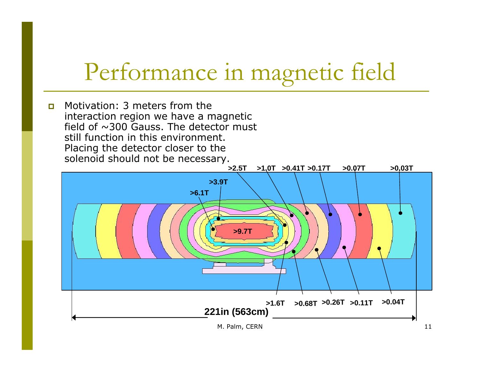$\Box$  Motivation: 3 meters from the interaction region we have a magnetic field of  $\sim$ 300 Gauss. The detector must still function in this environment. Placing the detector closer to the solenoid should not be necessary.

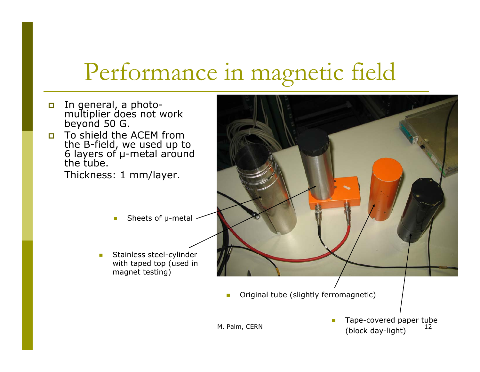- $\Box$ In general, a photo- multiplier does not work beyond 50 G.
- П To shield the ACEM from the B-field, we used up to<br>6 layers of µ-metal around 6 layers of µ-metal around<br>the tube.

Thickness: 1 mm/layer.

- **T** ■ Sheets of µ-metal
- $\mathcal{L}_{\mathcal{A}}$  Stainless steel-cylinder with taped top (used in magnet testing)

F Original tube (slightly ferromagnetic)

M. Palm, CERN  $\begin{array}{ccc} 1 & 1 & 1 & 1 \\ 1 & 1 & 1 & 1 \end{array}$  12 Tape-covered paper tube (block day-light)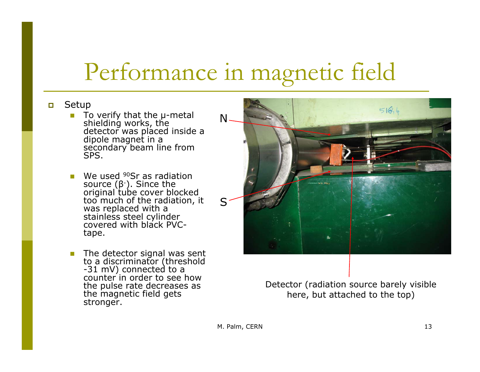#### $\Box$ Setup

- To verify that the µ-metal<br>shielding works, the detector was placed inside a<br>dipole magnet in a<br>secondary beam line from SPS.
- We used <sup>90</sup>Sr as radiation source (β<sup>-</sup>). Since the<br>original tube cover blocked<br>too much of the radiation, it was replaced with a<br>stainless steel cylinder<br>covered with black PVCtape.
- $\mathcal{L}_{\mathcal{A}}$ The detector signal was sent<br>to a discriminator (threshold<br>-31 mV) connected to a<br>counter in order to see how the pulse rate decreases as the magnetic field gets stronger.



Detector (radiation source barely visible here, but attached to the top)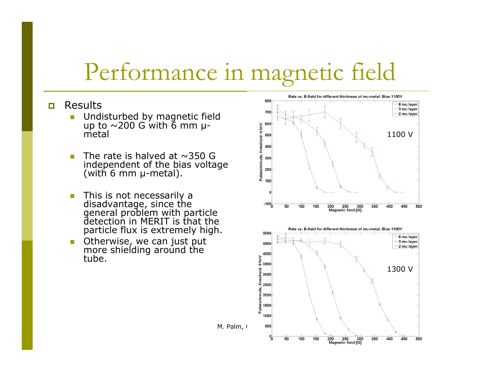#### П Results

- $\mathcal{C}^{\mathcal{A}}$ ■ Undisturbed by magnetic field<br>up to ~200 G with 6 mm μmetal
- $\overline{\mathcal{A}}$ The rate is halved at  $\sim$ 350 G independent of the bias voltage (with 6 mm  $\mu$ -metal).
- This is not necessarily a disadvantage, since the general problem with particle detection in MERIT is that the particle flux is extremely high.
- $\mathbb{R}^n$ Otherwise, we can just put<br>more shielding around the<br>tube.